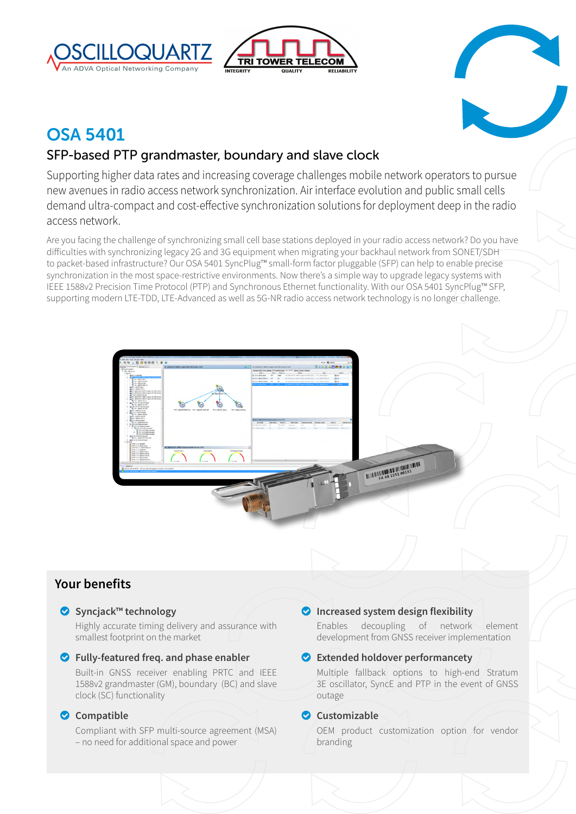





# OSA 5401

# SFP-based PTP grandmaster, boundary and slave clock

Supporting higher data rates and increasing coverage challenges mobile network operators to pursue new avenues in radio access network synchronization. Air interface evolution and public small cells demand ultra-compact and cost-effective synchronization solutions for deployment deep in the radio access network.

Are you facing the challenge of synchronizing small cell base stations deployed in your radio access network? Do you have difficulties with synchronizing legacy 2G and 3G equipment when migrating your backhaul network from SONET/SDH to packet-based infrastructure? Our OSA 5401 SyncPlug™ small-form factor pluggable (SFP) can help to enable precise synchronization in the most space-restrictive environments. Now there's a simple way to upgrade legacy systems with IEEE 1588v2 Precision Time Protocol (PTP) and Synchronous Ethernet functionality. With our OSA 5401 SyncPlug™ SFP, supporting modern LTE-TDD, LTE-Advanced as well as 5G-NR radio access network technology is no longer challenge.



# **Your benefits**

# o **Syncjack™ technology**

Highly accurate timing delivery and assurance with smallest footprint on the market

# o **Fully-featured freq. and phase enabler**

Built-in GNSS receiver enabling PRTC and IEEE 1588v2 grandmaster (GM), boundary (BC) and slave clock (SC) functionality

# o **Compatible**

Compliant with SFP multi-source agreement (MSA) – no need for additional space and power

# o **Increased system design flexibility**

Enables decoupling of network element development from GNSS receiver implementation

# o **Extended holdover performancety**

Multiple fallback options to high-end Stratum 3E oscillator, SyncE and PTP in the event of GNSS outage

# o **Customizable**

OEM product customization option for vendor branding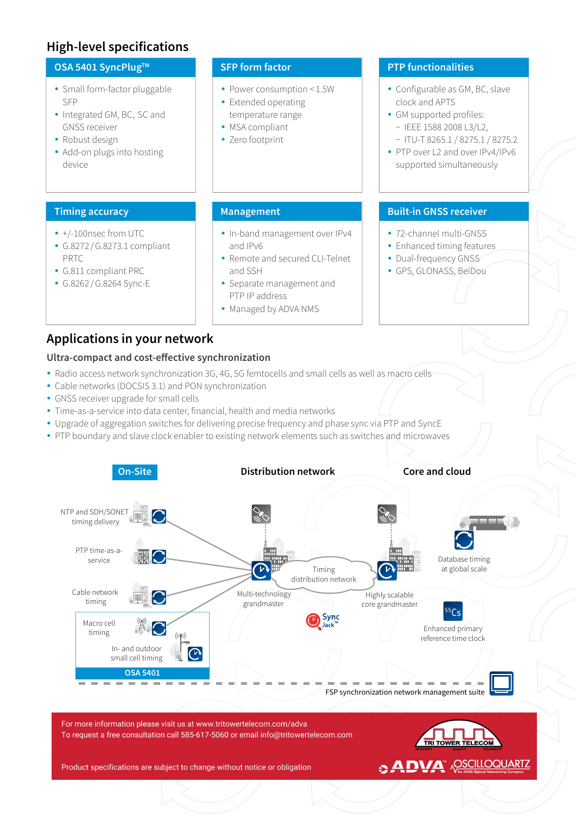# **High-level specifications**

# **OSA 5401 SyncPlug™**

- Small form-factor pluggable SFP
- Integrated GM, BC, SC and GNSS receiver
- Robust design
- Add-on plugs into hosting device

# **Timing accuracy**

- +/-100nsec from UTC
- y G.8272 /G.8273.1 compliant PRTC
- y G.811 compliant PRC
- y G.8262 /G.8264 Sync-E

#### **SFP form factor**

- Power consumption < 1.5W
- Extended operating temperature range
- MSA compliant
- Zero footprint

# **PTP functionalities**

- Configurable as GM, BC, slave clock and APTS
- GM supported profiles: − IEEE 1588 2008 L3/L2, − ITU-T 8265.1 / 8275.1 / 8275.2
- PTP over L2 and over IPv4/IPv6 supported simultaneously

# **Management**

- In-band management over IPv4 and IPv6
- Remote and secured CLI-Telnet and SSH
- Separate management and PTP IP address
- Managed by ADVA NMS

# **Built-in GNSS receiver**

- 72-channel multi-GNSS
- Enhanced timing features
- Dual-frequency GNSS
- y GPS, GLONASS, BeiDou

# **Applications in your network**

#### **Ultra-compact and cost-effective synchronization**

- Radio access network synchronization 3G, 4G, 5G femtocells and small cells as well as macro cells
- Cable networks (DOCSIS 3.1) and PON synchronization
- GNSS receiver upgrade for small cells
- Time-as-a-service into data center, financial, health and media networks
- Upgrade of aggregation switches for delivering precise frequency and phase sync via PTP and SyncE
- PTP boundary and slave clock enabler to existing network elements such as switches and microwaves



Product specifications are subject to change without notice or obligation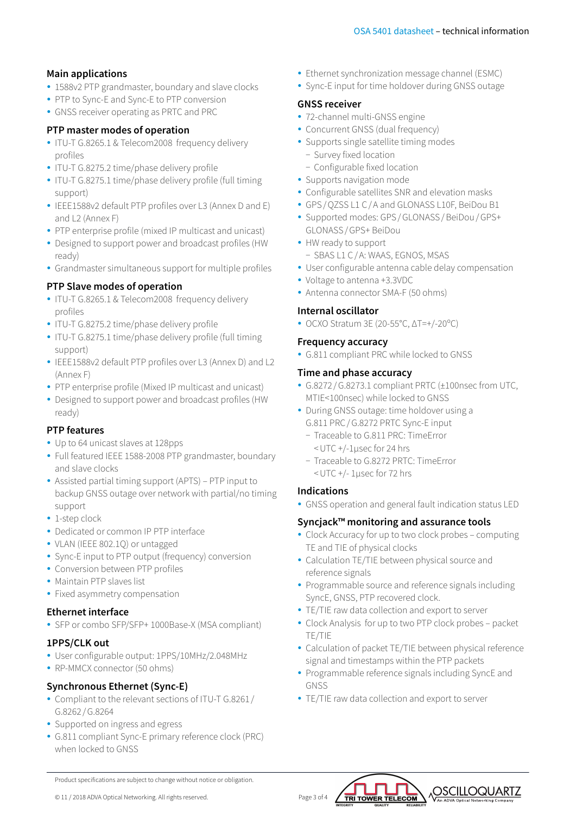# **Main applications**

- 1588v2 PTP grandmaster, boundary and slave clocks
- PTP to Sync-E and Sync-E to PTP conversion
- GNSS receiver operating as PRTC and PRC

# **PTP master modes of operation**

- ITU-T G.8265.1 & Telecom2008 frequency delivery profiles
- ITU-T G.8275.2 time/phase delivery profile
- ITU-T G.8275.1 time/phase delivery profile (full timing support)
- y IEEE1588v2 default PTP profiles over L3 (Annex D and E) and L2 (Annex F)
- PTP enterprise profile (mixed IP multicast and unicast)
- Designed to support power and broadcast profiles (HW ready)
- Grandmaster simultaneous support for multiple profiles

# **PTP Slave modes of operation**

- ITU-T G.8265.1 & Telecom2008 frequency delivery profiles
- ITU-T G.8275.2 time/phase delivery profile
- ITU-T G.8275.1 time/phase delivery profile (full timing support)
- y IEEE1588v2 default PTP profiles over L3 (Annex D) and L2 (Annex F)
- PTP enterprise profile (Mixed IP multicast and unicast)
- Designed to support power and broadcast profiles (HW ready)

# **PTP features**

- Up to 64 unicast slaves at 128pps
- Full featured IEEE 1588-2008 PTP grandmaster, boundary and slave clocks
- Assisted partial timing support (APTS) PTP input to backup GNSS outage over network with partial/no timing support
- 1-step clock
- Dedicated or common IP PTP interface
- VLAN (IEEE 802.1Q) or untagged
- Sync-E input to PTP output (frequency) conversion
- Conversion between PTP profiles
- Maintain PTP slaves list
- Fixed asymmetry compensation

# **Ethernet interface**

• SFP or combo SFP/SFP+ 1000Base-X (MSA compliant)

# **1PPS/CLK out**

- User configurable output: 1PPS/10MHz/2.048MHz
- RP-MMCX connector (50 ohms)

# **Synchronous Ethernet (Sync-E)**

- Compliant to the relevant sections of ITU-T G.8261/ G.8262 /G.8264
- Supported on ingress and egress
- G.811 compliant Sync-E primary reference clock (PRC) when locked to GNSS
- Ethernet synchronization message channel (ESMC)
- Sync-E input for time holdover during GNSS outage

# **GNSS receiver**

- 72-channel multi-GNSS engine
- Concurrent GNSS (dual frequency)
- Supports single satellite timing modes
	- − Survey fixed location
	- − Configurable fixed location
- Supports navigation mode
- Configurable satellites SNR and elevation masks
- y GPS/QZSS L1 C/A and GLONASS L10F, BeiDou B1
- Supported modes: GPS / GLONASS / BeiDou / GPS+ GLONASS/GPS+ BeiDou
- HW ready to support
	- − SBAS L1 C/A: WAAS, EGNOS, MSAS
- User configurable antenna cable delay compensation
- y Voltage to antenna +3.3VDC
- Antenna connector SMA-F (50 ohms)

# **Internal oscillator**

• OCXO Stratum 3E (20-55°C, ΔT=+/-20°C)

#### **Frequency accuracy**

• G.811 compliant PRC while locked to GNSS

#### **Time and phase accuracy**

- y G.8272 /G.8273.1 compliant PRTC (±100nsec from UTC, MTIE<100nsec) while locked to GNSS
- During GNSS outage: time holdover using a G.811 PRC/G.8272 PRTC Sync-E input
	- − Traceable to G.811 PRC: TimeError
	- <UTC +/-1μsec for 24 hrs
	- − Traceable to G.8272 PRTC: TimeError <UTC +/- 1μsec for 72 hrs

# **Indications**

• GNSS operation and general fault indication status LED

# **Syncjack™ monitoring and assurance tools**

- Clock Accuracy for up to two clock probes computing TE and TIE of physical clocks
- Calculation TE/TIE between physical source and reference signals
- Programmable source and reference signals including SyncE, GNSS, PTP recovered clock.
- TE/TIE raw data collection and export to server
- Clock Analysis for up to two PTP clock probes packet TE/TIE
- Calculation of packet TE/TIE between physical reference signal and timestamps within the PTP packets
- Programmable reference signals including SyncE and GNSS
- TE/TIE raw data collection and export to server